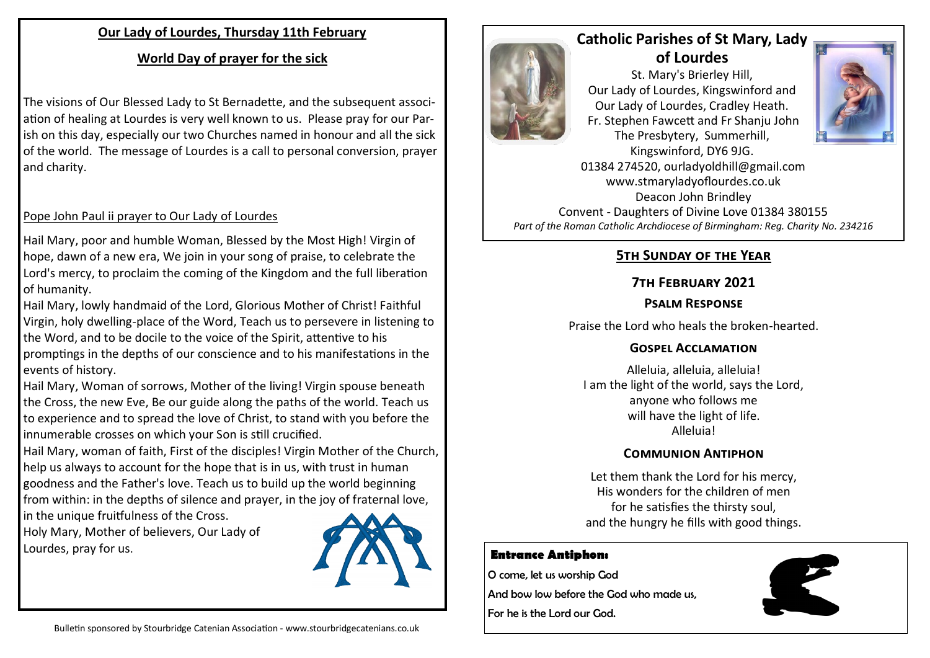### **Our Lady of Lourdes, Thursday 11th February**

## **World Day of prayer for the sick**

The visions of Our Blessed Lady to St Bernadette, and the subsequent association of healing at Lourdes is very well known to us. Please pray for our Parish on this day, especially our two Churches named in honour and all the sick of the world. The message of Lourdes is a call to personal conversion, prayer and charity.

### Pope John Paul ii prayer to Our Lady of Lourdes

Hail Mary, poor and humble Woman, Blessed by the Most High! Virgin of hope, dawn of a new era, We join in your song of praise, to celebrate the Lord's mercy, to proclaim the coming of the Kingdom and the full liberation of humanity.

Hail Mary, lowly handmaid of the Lord, Glorious Mother of Christ! Faithful Virgin, holy dwelling-place of the Word, Teach us to persevere in listening to the Word, and to be docile to the voice of the Spirit, attentive to his promptings in the depths of our conscience and to his manifestations in the events of history.

Hail Mary, Woman of sorrows, Mother of the living! Virgin spouse beneath the Cross, the new Eve, Be our guide along the paths of the world. Teach us to experience and to spread the love of Christ, to stand with you before the innumerable crosses on which your Son is still crucified.

Hail Mary, woman of faith, First of the disciples! Virgin Mother of the Church, help us always to account for the hope that is in us, with trust in human goodness and the Father's love. Teach us to build up the world beginning from within: in the depths of silence and prayer, in the joy of fraternal love,

in the unique fruitfulness of the Cross. Holy Mary, Mother of believers, Our Lady of Lourdes, pray for us.





# **Catholic Parishes of St Mary, Lady of Lourdes**

St. Mary's Brierley Hill, Our Lady of Lourdes, Kingswinford and Our Lady of Lourdes, Cradley Heath. Fr. Stephen Fawcett and Fr Shanju John The Presbytery, Summerhill,



Kingswinford, DY6 9JG. 01384 274520, ourladyoldhill@gmail.com www.stmaryladyoflourdes.co.uk Deacon John Brindley Convent - Daughters of Divine Love 01384 380155 *Part of the Roman Catholic Archdiocese of Birmingham: Reg. Charity No. 234216*

## **5th Sunday of the Year**

## **7th February 2021**

### **Psalm Response**

Praise the Lord who heals the broken-hearted.

## **Gospel Acclamation**

Alleluia, alleluia, alleluia! I am the light of the world, says the Lord, anyone who follows me will have the light of life. Alleluia!

### **Communion Antiphon**

Let them thank the Lord for his mercy, His wonders for the children of men for he satisfies the thirsty soul, and the hungry he fills with good things.

#### **Entrance Antiphon:**

O come, let us worship God And bow low before the God who made us,

For he is the Lord our God.